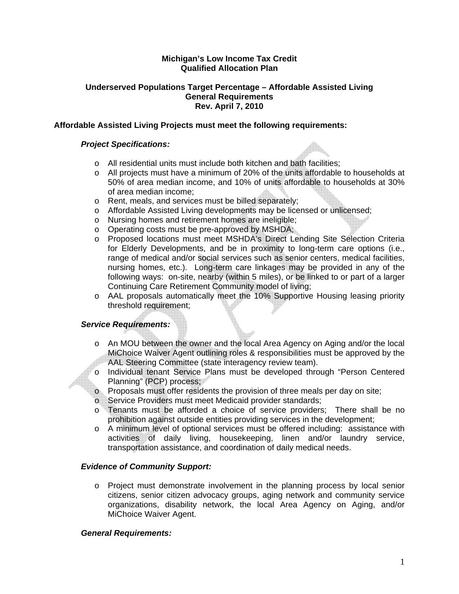## **Michigan's Low Income Tax Credit Qualified Allocation Plan**

### **Underserved Populations Target Percentage – Affordable Assisted Living General Requirements Rev. April 7, 2010**

## **Affordable Assisted Living Projects must meet the following requirements:**

### *Project Specifications:*

- o All residential units must include both kitchen and bath facilities;
- o All projects must have a minimum of 20% of the units affordable to households at 50% of area median income, and 10% of units affordable to households at 30% of area median income;
- o Rent, meals, and services must be billed separately;
- o Affordable Assisted Living developments may be licensed or unlicensed;
- o Nursing homes and retirement homes are ineligible;
- o Operating costs must be pre-approved by MSHDA;
- o Proposed locations must meet MSHDA's Direct Lending Site Selection Criteria for Elderly Developments, and be in proximity to long-term care options (i.e., range of medical and/or social services such as senior centers, medical facilities, nursing homes, etc.). Long-term care linkages may be provided in any of the following ways: on-site, nearby (within 5 miles), or be linked to or part of a larger Continuing Care Retirement Community model of living;
- o AAL proposals automatically meet the 10% Supportive Housing leasing priority threshold requirement;

# *Service Requirements:*

- o An MOU between the owner and the local Area Agency on Aging and/or the local MiChoice Waiver Agent outlining roles & responsibilities must be approved by the AAL Steering Committee (state interagency review team).
- o Individual tenant Service Plans must be developed through "Person Centered Planning" (PCP) process;
- o Proposals must offer residents the provision of three meals per day on site;
- o Service Providers must meet Medicaid provider standards;
- o Tenants must be afforded a choice of service providers; There shall be no prohibition against outside entities providing services in the development;
- o A minimum level of optional services must be offered including: assistance with activities of daily living, housekeeping, linen and/or laundry service, transportation assistance, and coordination of daily medical needs.

# *Evidence of Community Support:*

o Project must demonstrate involvement in the planning process by local senior citizens, senior citizen advocacy groups, aging network and community service organizations, disability network, the local Area Agency on Aging, and/or MiChoice Waiver Agent.

### *General Requirements:*